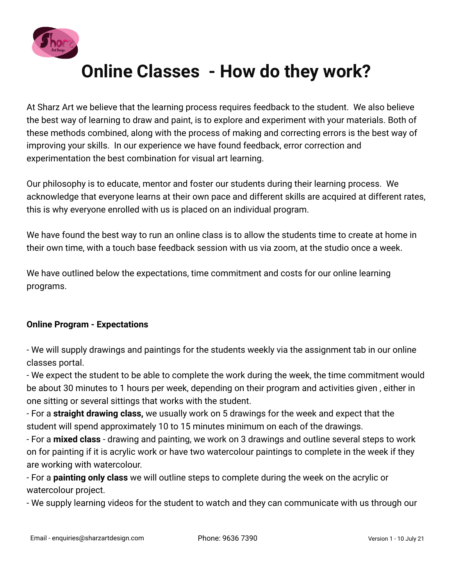

## **Online Classes - How do they work?**

At Sharz Art we believe that the learning process requires feedback to the student. We also believe the best way of learning to draw and paint, is to explore and experiment with your materials. Both of these methods combined, along with the process of making and correcting errors is the best way of improving your skills. In our experience we have found feedback, error correction and experimentation the best combination for visual art learning.

Our philosophy is to educate, mentor and foster our students during their learning process. We acknowledge that everyone learns at their own pace and different skills are acquired at different rates, this is why everyone enrolled with us is placed on an individual program.

We have found the best way to run an online class is to allow the students time to create at home in their own time, with a touch base feedback session with us via zoom, at the studio once a week.

We have outlined below the expectations, time commitment and costs for our online learning programs.

## **Online Program - Expectations**

- We will supply drawings and paintings for the students weekly via the assignment tab in our online classes portal.

- We expect the student to be able to complete the work during the week, the time commitment would be about 30 minutes to 1 hours per week, depending on their program and activities given , either in one sitting or several sittings that works with the student.

- For a **straight drawing class,** we usually work on 5 drawings for the week and expect that the student will spend approximately 10 to 15 minutes minimum on each of the drawings.

- For a **mixed class** - drawing and painting, we work on 3 drawings and outline several steps to work on for painting if it is acrylic work or have two watercolour paintings to complete in the week if they are working with watercolour.

- For a **painting only class** we will outline steps to complete during the week on the acrylic or watercolour project.

- We supply learning videos for the student to watch and they can communicate with us through our